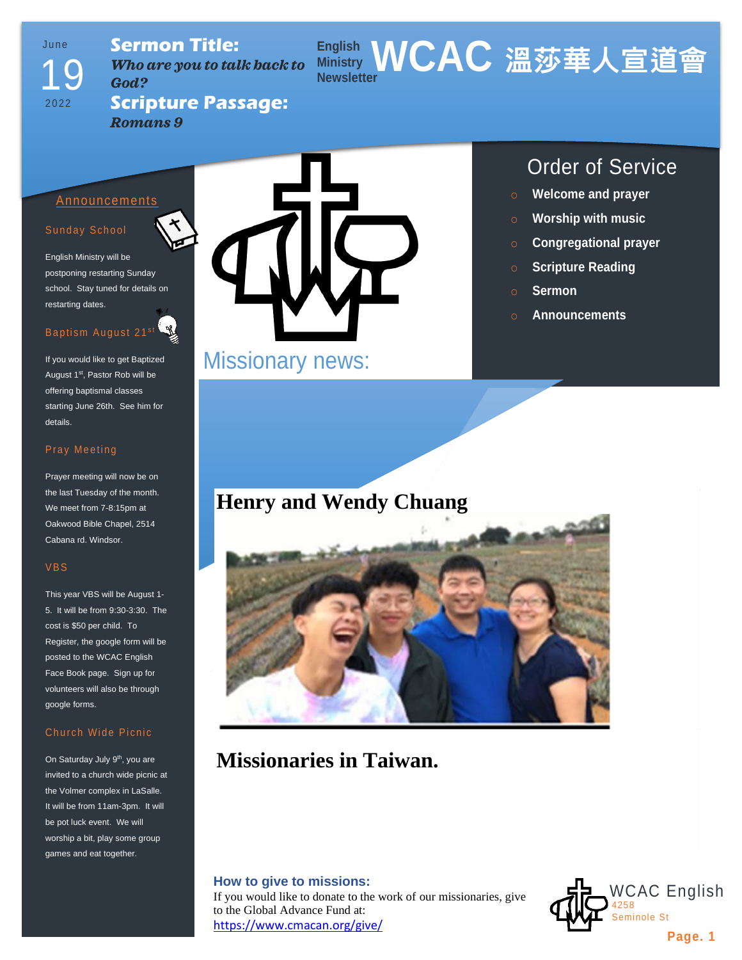# Ju n e 19

2022

**Sermon Title:** *Who are you to talk back to God?*

### **English Ministry WCAC 溫莎華人宣道會 Newsletter**

**Scripture Passage:** *Romans 9*

#### Announcements

#### Sunday School

English Ministry will be postponing restarting Sunday school. Stay tuned for details on restarting dates.

### Baptism August 21st

If you would like to get Baptized August 1<sup>st</sup>, Pastor Rob will be offering baptismal classes starting June 26th. See him for details.

#### Pray Meeting

Prayer meeting will now be on the last Tuesday of the month. We meet from 7-8:15pm at Oakwood Bible Chapel, 2514 Cabana rd. Windsor.

#### VBS

This year VBS will be August 1- 5. It will be from 9:30-3:30. The cost is \$50 per child. To Register, the google form will be posted to the WCAC English Face Book page. Sign up for volunteers will also be through google forms.

#### Church Wide Picnic

On Saturday July 9<sup>th</sup>, you are invited to a church wide picnic at the Volmer complex in LaSalle. It will be from 11am-3pm. It will be pot luck event. We will worship a bit, play some group games and eat together.



# Missionary news:

### Order of Service

- o **Welcome and prayer**
- o **Worship with music**
- o **Congregational prayer**
- o **Scripture Reading**
- o **Sermon**
- o **Announcements**

## **Henry and Wendy Chuang**



## **Missionaries in Taiwan.**

#### **How to give to missions:**

If you would like to donate to the work of our missionaries, give to the Global Advance Fund at: <https://www.cmacan.org/give/>